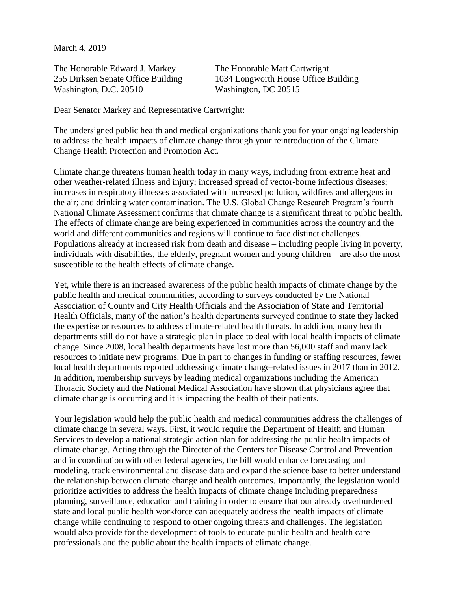March 4, 2019

The Honorable Edward J. Markey The Honorable Matt Cartwright Washington, D.C. 20510 Washington, DC 20515

255 Dirksen Senate Office Building 1034 Longworth House Office Building

Dear Senator Markey and Representative Cartwright:

The undersigned public health and medical organizations thank you for your ongoing leadership to address the health impacts of climate change through your reintroduction of the Climate Change Health Protection and Promotion Act.

Climate change threatens human health today in many ways, including from extreme heat and other weather-related illness and injury; increased spread of vector-borne infectious diseases; increases in respiratory illnesses associated with increased pollution, wildfires and allergens in the air; and drinking water contamination. The U.S. Global Change Research Program's fourth National Climate Assessment confirms that climate change is a significant threat to public health. The effects of climate change are being experienced in communities across the country and the world and different communities and regions will continue to face distinct challenges. Populations already at increased risk from death and disease – including people living in poverty, individuals with disabilities, the elderly, pregnant women and young children – are also the most susceptible to the health effects of climate change.

Yet, while there is an increased awareness of the public health impacts of climate change by the public health and medical communities, according to surveys conducted by the National Association of County and City Health Officials and the Association of State and Territorial Health Officials, many of the nation's health departments surveyed continue to state they lacked the expertise or resources to address climate-related health threats. In addition, many health departments still do not have a strategic plan in place to deal with local health impacts of climate change. Since 2008, local health departments have lost more than 56,000 staff and many lack resources to initiate new programs. Due in part to changes in funding or staffing resources, fewer local health departments reported addressing climate change-related issues in 2017 than in 2012. In addition, membership surveys by leading medical organizations including the American Thoracic Society and the National Medical Association have shown that physicians agree that climate change is occurring and it is impacting the health of their patients.

Your legislation would help the public health and medical communities address the challenges of climate change in several ways. First, it would require the Department of Health and Human Services to develop a national strategic action plan for addressing the public health impacts of climate change. Acting through the Director of the Centers for Disease Control and Prevention and in coordination with other federal agencies, the bill would enhance forecasting and modeling, track environmental and disease data and expand the science base to better understand the relationship between climate change and health outcomes. Importantly, the legislation would prioritize activities to address the health impacts of climate change including preparedness planning, surveillance, education and training in order to ensure that our already overburdened state and local public health workforce can adequately address the health impacts of climate change while continuing to respond to other ongoing threats and challenges. The legislation would also provide for the development of tools to educate public health and health care professionals and the public about the health impacts of climate change.